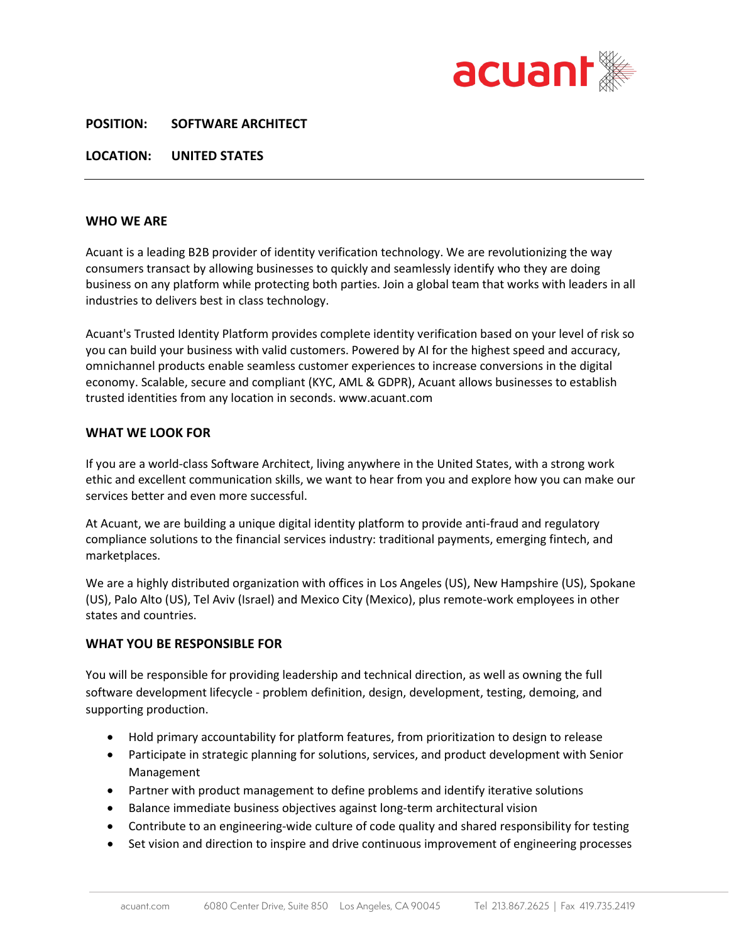

## **POSITION: SOFTWARE ARCHITECT**

**LOCATION: UNITED STATES**

#### **WHO WE ARE**

Acuant is a leading B2B provider of identity verification technology. We are revolutionizing the way consumers transact by allowing businesses to quickly and seamlessly identify who they are doing business on any platform while protecting both parties. Join a global team that works with leaders in all industries to delivers best in class technology.

Acuant's Trusted Identity Platform provides complete identity verification based on your level of risk so you can build your business with valid customers. Powered by AI for the highest speed and accuracy, omnichannel products enable seamless customer experiences to increase conversions in the digital economy. Scalable, secure and compliant (KYC, AML & GDPR), Acuant allows businesses to establish trusted identities from any location in seconds. www.acuant.com

#### **WHAT WE LOOK FOR**

If you are a world-class Software Architect, living anywhere in the United States, with a strong work ethic and excellent communication skills, we want to hear from you and explore how you can make our services better and even more successful.

At Acuant, we are building a unique digital identity platform to provide anti-fraud and regulatory compliance solutions to the financial services industry: traditional payments, emerging fintech, and marketplaces.

We are a highly distributed organization with offices in Los Angeles (US), New Hampshire (US), Spokane (US), Palo Alto (US), Tel Aviv (Israel) and Mexico City (Mexico), plus remote-work employees in other states and countries.

## **WHAT YOU BE RESPONSIBLE FOR**

You will be responsible for providing leadership and technical direction, as well as owning the full software development lifecycle - problem definition, design, development, testing, demoing, and supporting production.

- Hold primary accountability for platform features, from prioritization to design to release
- Participate in strategic planning for solutions, services, and product development with Senior Management
- Partner with product management to define problems and identify iterative solutions
- Balance immediate business objectives against long-term architectural vision
- Contribute to an engineering-wide culture of code quality and shared responsibility for testing
- Set vision and direction to inspire and drive continuous improvement of engineering processes